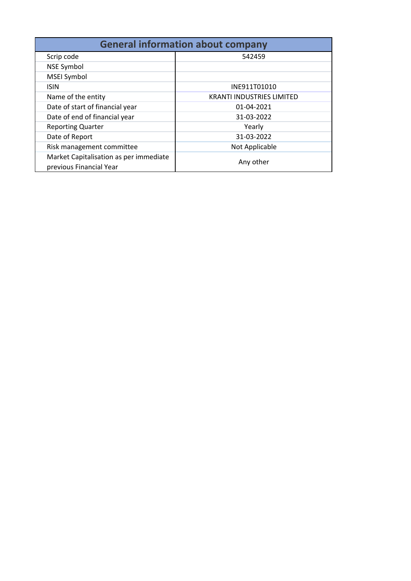| <b>General information about company</b>                          |                                  |  |  |  |  |
|-------------------------------------------------------------------|----------------------------------|--|--|--|--|
| Scrip code                                                        | 542459                           |  |  |  |  |
| <b>NSE Symbol</b>                                                 |                                  |  |  |  |  |
| MSEI Symbol                                                       |                                  |  |  |  |  |
| <b>ISIN</b>                                                       | INE911T01010                     |  |  |  |  |
| Name of the entity                                                | <b>KRANTI INDUSTRIES LIMITED</b> |  |  |  |  |
| Date of start of financial year                                   | 01-04-2021                       |  |  |  |  |
| Date of end of financial year                                     | 31-03-2022                       |  |  |  |  |
| <b>Reporting Quarter</b>                                          | Yearly                           |  |  |  |  |
| Date of Report                                                    | 31-03-2022                       |  |  |  |  |
| Risk management committee                                         | Not Applicable                   |  |  |  |  |
| Market Capitalisation as per immediate<br>previous Financial Year | Any other                        |  |  |  |  |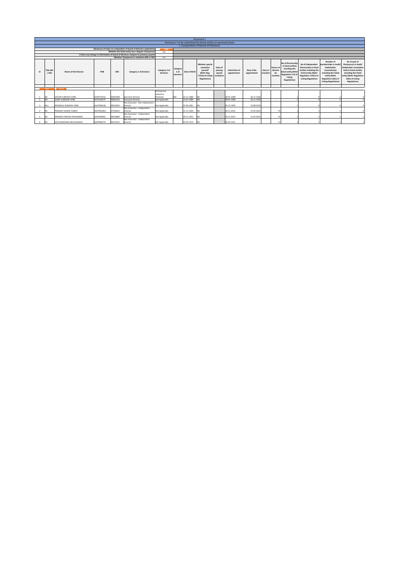|                |                              | Annexure I                |            |            |                                                                                      |                            |                                                                                                                                                                                                                                                                                                                                                                                                                                                                                                                                                                                                                                                                                                                                                                                                                                                                                                                                                                                                                                      |            |                                                                |  |            |            |  |  |  |
|----------------|------------------------------|---------------------------|------------|------------|--------------------------------------------------------------------------------------|----------------------------|--------------------------------------------------------------------------------------------------------------------------------------------------------------------------------------------------------------------------------------------------------------------------------------------------------------------------------------------------------------------------------------------------------------------------------------------------------------------------------------------------------------------------------------------------------------------------------------------------------------------------------------------------------------------------------------------------------------------------------------------------------------------------------------------------------------------------------------------------------------------------------------------------------------------------------------------------------------------------------------------------------------------------------------|------------|----------------------------------------------------------------|--|------------|------------|--|--|--|
|                |                              |                           |            |            |                                                                                      |                            |                                                                                                                                                                                                                                                                                                                                                                                                                                                                                                                                                                                                                                                                                                                                                                                                                                                                                                                                                                                                                                      |            | Annexure I to be submitted by listed entity on quarterly basis |  |            |            |  |  |  |
|                |                              |                           |            |            |                                                                                      |                            |                                                                                                                                                                                                                                                                                                                                                                                                                                                                                                                                                                                                                                                                                                                                                                                                                                                                                                                                                                                                                                      |            | I. Composition of Board of Directors                           |  |            |            |  |  |  |
|                |                              |                           |            |            | Disclosure of notes on composition of board of directors explanatory                 | Add                        |                                                                                                                                                                                                                                                                                                                                                                                                                                                                                                                                                                                                                                                                                                                                                                                                                                                                                                                                                                                                                                      |            |                                                                |  |            |            |  |  |  |
|                |                              |                           |            |            | Whether the listed entity has a Regular Chairperson                                  | Yes                        |                                                                                                                                                                                                                                                                                                                                                                                                                                                                                                                                                                                                                                                                                                                                                                                                                                                                                                                                                                                                                                      |            |                                                                |  |            |            |  |  |  |
|                |                              |                           |            |            | Is there any change in information of board of directors compare to previous quarter |                            |                                                                                                                                                                                                                                                                                                                                                                                                                                                                                                                                                                                                                                                                                                                                                                                                                                                                                                                                                                                                                                      |            |                                                                |  |            |            |  |  |  |
|                |                              |                           |            |            | Whether Chairperson is related to MD or CEO                                          | Yes                        |                                                                                                                                                                                                                                                                                                                                                                                                                                                                                                                                                                                                                                                                                                                                                                                                                                                                                                                                                                                                                                      |            |                                                                |  |            |            |  |  |  |
| Sr.            | Title (Mr<br>/M <sub>2</sub> | Name of the Director      | PAN        | <b>DIN</b> | Category 1 of directors                                                              | Category 2 of<br>directors | No of post of<br>Number of<br>No of Directorship<br>Chairperson in Audit/<br>No of Independent<br>memberships in Audit.<br>Whether special<br>in listed entities<br><b>Stakeholder Committee</b><br>Stakeholder<br>Directorship in listed<br>resolution<br>Date of<br><b>Tenure</b> of<br>including this<br>Category<br>entities including this<br>held in listed entities<br>director<br>Committee(s)<br>passed?<br>passing<br><b>Initial Date of</b><br>Date of Re-<br>Date of<br>listed entity (Refer<br>3 of<br>Date of Birth<br>including this listed<br><b>IRefer Reg.</b><br>including this listed<br>appointment<br>appointment<br>fin<br>listed entity (Refer<br>special<br>cessation<br>Regulation 17A of<br>directors<br>resolution<br>months<br>Regulation 17A(1) of<br>entity (Refer<br>entity (Refer Regulation<br>17(1A) of Listing<br>Listing<br>26(1) of Listing<br><b>Regulations1</b><br><b>Listing Regulations</b><br>Regulation 26(1) of<br><b>Regulations</b> )<br>Regulations)<br><b>Listing Regulations)</b> |            |                                                                |  |            |            |  |  |  |
|                | Add.                         | Delete                    |            |            |                                                                                      |                            |                                                                                                                                                                                                                                                                                                                                                                                                                                                                                                                                                                                                                                                                                                                                                                                                                                                                                                                                                                                                                                      |            |                                                                |  |            |            |  |  |  |
|                |                              |                           |            |            |                                                                                      | Chairperson                |                                                                                                                                                                                                                                                                                                                                                                                                                                                                                                                                                                                                                                                                                                                                                                                                                                                                                                                                                                                                                                      |            |                                                                |  |            |            |  |  |  |
|                |                              |                           |            |            |                                                                                      | related to                 |                                                                                                                                                                                                                                                                                                                                                                                                                                                                                                                                                                                                                                                                                                                                                                                                                                                                                                                                                                                                                                      |            |                                                                |  |            |            |  |  |  |
|                | Mr                           | SACHIN SUBHASH VORA       | ACNPV4341E | 02002468   | <b>Executive Director</b>                                                            | Promoter                   | MD                                                                                                                                                                                                                                                                                                                                                                                                                                                                                                                                                                                                                                                                                                                                                                                                                                                                                                                                                                                                                                   | 23-11-1980 | <b>NA</b>                                                      |  | 28-01-2008 | 26-11-2020 |  |  |  |
| $\overline{2}$ | <b>IMr</b>                   | <b>SUMIT SUBHASH VORA</b> | ACVPV4627P | 02002416   | <b>Executive Director</b>                                                            | Not Applicable             |                                                                                                                                                                                                                                                                                                                                                                                                                                                                                                                                                                                                                                                                                                                                                                                                                                                                                                                                                                                                                                      | 13-01-1984 | <b>NA</b>                                                      |  | 28-01-2008 | 26-11-2020 |  |  |  |
|                |                              |                           |            |            | Non-Executive - Non Independent                                                      |                            |                                                                                                                                                                                                                                                                                                                                                                                                                                                                                                                                                                                                                                                                                                                                                                                                                                                                                                                                                                                                                                      |            |                                                                |  |            |            |  |  |  |
|                | Mrs                          | INDUBALA SUBHASH VORA     | AALPV8616N | 02018226   | Director                                                                             | Not Applicable             |                                                                                                                                                                                                                                                                                                                                                                                                                                                                                                                                                                                                                                                                                                                                                                                                                                                                                                                                                                                                                                      | 25-09-1961 | <b>INA</b>                                                     |  | 05-12-1995 | 23-08-2019 |  |  |  |
|                | Mr                           | PRAKASH VASANT KAMAT      | AACPK6506H | 07350643   | Non-Executive - Independent<br>Director                                              | Not Applicable             |                                                                                                                                                                                                                                                                                                                                                                                                                                                                                                                                                                                                                                                                                                                                                                                                                                                                                                                                                                                                                                      | 12-11-1950 | <b>NA</b>                                                      |  | 30-11-2015 | 13-02-202  |  |  |  |
|                |                              |                           |            |            | Non-Executive - Independent                                                          |                            |                                                                                                                                                                                                                                                                                                                                                                                                                                                                                                                                                                                                                                                                                                                                                                                                                                                                                                                                                                                                                                      |            |                                                                |  |            |            |  |  |  |
|                | Mr                           | PRAMOD VINAYAK APSHANKAR  | AAOPA8945L | 00019869   | Director                                                                             | Not Applicable             |                                                                                                                                                                                                                                                                                                                                                                                                                                                                                                                                                                                                                                                                                                                                                                                                                                                                                                                                                                                                                                      | 29-11-1952 | <b>NA</b>                                                      |  | 30-11-2015 | 13-02-202  |  |  |  |
|                |                              |                           |            |            | Non-Executive - Independent                                                          |                            |                                                                                                                                                                                                                                                                                                                                                                                                                                                                                                                                                                                                                                                                                                                                                                                                                                                                                                                                                                                                                                      |            |                                                                |  |            |            |  |  |  |
| ñ              | Mr                           | SATCHIDANAND ARUN RANADE  | AAZPR8027R | 03525423   | Director                                                                             | Not Applicable             |                                                                                                                                                                                                                                                                                                                                                                                                                                                                                                                                                                                                                                                                                                                                                                                                                                                                                                                                                                                                                                      | 03-04-1970 | <b>INA</b>                                                     |  | 06-04-2021 |            |  |  |  |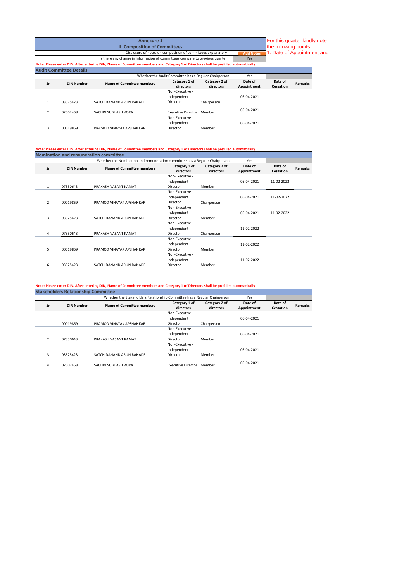|    | For this quarter kindly note<br><b>Annexure 1</b><br>the following points:                                     |                                                                                                                                    |                                                       |               |             |           |                |  |
|----|----------------------------------------------------------------------------------------------------------------|------------------------------------------------------------------------------------------------------------------------------------|-------------------------------------------------------|---------------|-------------|-----------|----------------|--|
|    | <b>II. Composition of Committees</b>                                                                           |                                                                                                                                    |                                                       |               |             |           |                |  |
|    | 1. Date of Appointment and<br>Disclosure of notes on composition of committees explanatory<br><b>Add Notes</b> |                                                                                                                                    |                                                       |               |             |           |                |  |
|    |                                                                                                                | Is there any change in information of committees compare to previous quarter                                                       |                                                       |               | <b>Yes</b>  |           |                |  |
|    |                                                                                                                | Note: Please enter DIN. After entering DIN, Name of Committee members and Category 1 of Directors shall be prefilled automatically |                                                       |               |             |           |                |  |
|    | <b>Audit Committee Details</b>                                                                                 |                                                                                                                                    |                                                       |               |             |           |                |  |
|    |                                                                                                                |                                                                                                                                    | Whether the Audit Committee has a Regular Chairperson |               | Yes         |           |                |  |
| Sr | <b>DIN Number</b>                                                                                              | Name of Committee members                                                                                                          | Category 1 of                                         | Category 2 of | Date of     | Date of   | <b>Remarks</b> |  |
|    |                                                                                                                |                                                                                                                                    | directors                                             | directors     | Appointment | Cessation |                |  |
|    |                                                                                                                |                                                                                                                                    | Non-Executive -                                       |               |             |           |                |  |
|    |                                                                                                                |                                                                                                                                    | Independent                                           |               | 06-04-2021  |           |                |  |
|    | 03525423                                                                                                       | SATCHIDANAND ARUN RANADE                                                                                                           | Director                                              | Chairperson   |             |           |                |  |
|    | 02002468                                                                                                       | SACHIN SUBHASH VORA                                                                                                                | <b>Executive Director</b>                             | Member        | 06-04-2021  |           |                |  |
|    |                                                                                                                |                                                                                                                                    | Non-Executive -                                       |               |             |           |                |  |

Independent Director

06-04-2021

## **Note: Please enter DIN. After entering DIN, Name of Committee members and Category 1 of Directors shall be prefilled automatically Nomination and remuneration committee**

3 00019869 PRAMOD VINAYAK APSHANKAR

| <b>Nomination and remuneration committee</b> |                   |                                                                             |                 |               |             |            |                |  |  |
|----------------------------------------------|-------------------|-----------------------------------------------------------------------------|-----------------|---------------|-------------|------------|----------------|--|--|
|                                              |                   | Whether the Nomination and remuneration committee has a Regular Chairperson |                 |               | Yes         |            |                |  |  |
| Sr                                           | <b>DIN Number</b> | <b>Name of Committee members</b>                                            | Category 1 of   | Category 2 of | Date of     | Date of    | <b>Remarks</b> |  |  |
|                                              |                   |                                                                             | directors       | directors     | Appointment | Cessation  |                |  |  |
|                                              |                   |                                                                             | Non-Executive - |               |             |            |                |  |  |
|                                              |                   |                                                                             | Independent     |               | 06-04-2021  | 11-02-2022 |                |  |  |
| $\mathbf{1}$                                 | 07350643          | PRAKASH VASANT KAMAT                                                        | Director        | Member        |             |            |                |  |  |
|                                              |                   |                                                                             | Non-Executive - |               |             |            |                |  |  |
|                                              |                   |                                                                             | Independent     |               | 06-04-2021  | 11-02-2022 |                |  |  |
| $\mathfrak{p}$                               | 00019869          | PRAMOD VINAYAK APSHANKAR                                                    | Director        | Chairperson   |             |            |                |  |  |
|                                              |                   |                                                                             | Non-Executive - |               |             |            |                |  |  |
|                                              |                   |                                                                             | Independent     |               | 06-04-2021  | 11-02-2022 |                |  |  |
| 3                                            | 03525423          | SATCHIDANAND ARUN RANADE                                                    | <b>Director</b> | Member        |             |            |                |  |  |
|                                              |                   |                                                                             | Non-Executive - |               |             |            |                |  |  |
|                                              |                   |                                                                             | Independent     |               | 11-02-2022  |            |                |  |  |
| 4                                            | 07350643          | PRAKASH VASANT KAMAT                                                        | <b>Director</b> | Chairperson   |             |            |                |  |  |
|                                              |                   |                                                                             | Non-Executive - |               |             |            |                |  |  |
|                                              |                   |                                                                             | Independent     |               | 11-02-2022  |            |                |  |  |
| 5                                            | 00019869          | PRAMOD VINAYAK APSHANKAR                                                    | <b>Director</b> | Member        |             |            |                |  |  |
|                                              |                   |                                                                             | Non-Executive - |               |             |            |                |  |  |
|                                              |                   |                                                                             | Independent     |               | 11-02-2022  |            |                |  |  |
| 6                                            | 03525423          | SATCHIDANAND ARUN RANADE                                                    | Director        | Member        |             |            |                |  |  |

## **Note: Please enter DIN. After entering DIN, Name of Committee members and Category 1 of Directors shall be prefilled automatically**

| <b>Stakeholders Relationship Committee</b> |                   |                                                                           |                           |               |             |           |                |  |  |
|--------------------------------------------|-------------------|---------------------------------------------------------------------------|---------------------------|---------------|-------------|-----------|----------------|--|--|
|                                            |                   | Whether the Stakeholders Relationship Committee has a Regular Chairperson |                           |               | Yes         |           |                |  |  |
| Sr                                         | <b>DIN Number</b> | <b>Name of Committee members</b>                                          | Category 1 of             | Category 2 of | Date of     | Date of   | <b>Remarks</b> |  |  |
|                                            |                   |                                                                           | directors                 | directors     | Appointment | Cessation |                |  |  |
|                                            |                   |                                                                           | Non-Executive -           |               |             |           |                |  |  |
|                                            |                   |                                                                           | Independent               |               | 06-04-2021  |           |                |  |  |
| $\mathbf{1}$                               | 00019869          | PRAMOD VINAYAK APSHANKAR                                                  | Director                  | Chairperson   |             |           |                |  |  |
|                                            |                   |                                                                           | Non-Executive -           |               |             |           |                |  |  |
|                                            |                   |                                                                           | Independent               |               | 06-04-2021  |           |                |  |  |
| $\mathcal{P}$                              | 07350643          | PRAKASH VASANT KAMAT                                                      | Director                  | Member        |             |           |                |  |  |
|                                            |                   |                                                                           | Non-Executive -           |               |             |           |                |  |  |
|                                            |                   |                                                                           | Independent               |               | 06-04-2021  |           |                |  |  |
| 3                                          | 03525423          | SATCHIDANAND ARUN RANADE                                                  | Director                  | Member        |             |           |                |  |  |
| 4                                          | 02002468          | <b>SACHIN SUBHASH VORA</b>                                                | <b>Executive Director</b> | Member        | 06-04-2021  |           |                |  |  |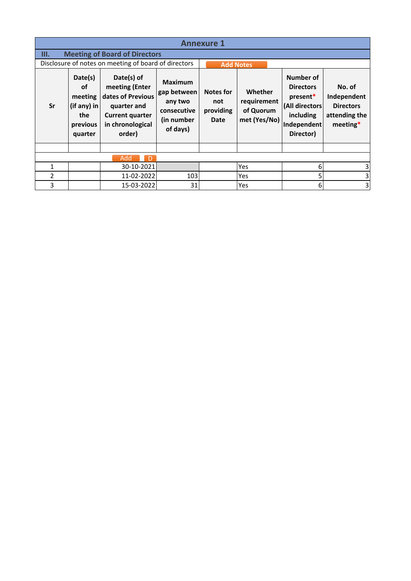| <b>Annexure 1</b> |                                                                         |                                                                                                                          |                                                                                   |                                                     |                                                     |                                                                                                      |                                                                          |  |  |
|-------------------|-------------------------------------------------------------------------|--------------------------------------------------------------------------------------------------------------------------|-----------------------------------------------------------------------------------|-----------------------------------------------------|-----------------------------------------------------|------------------------------------------------------------------------------------------------------|--------------------------------------------------------------------------|--|--|
| III.              | <b>Meeting of Board of Directors</b>                                    |                                                                                                                          |                                                                                   |                                                     |                                                     |                                                                                                      |                                                                          |  |  |
|                   |                                                                         | Disclosure of notes on meeting of board of directors                                                                     |                                                                                   |                                                     | <b>Add Notes</b>                                    |                                                                                                      |                                                                          |  |  |
| Sr                | Date(s)<br>οf<br>meeting<br>$(if any)$ in<br>the<br>previous<br>quarter | Date(s) of<br>meeting (Enter<br>dates of Previous<br>quarter and<br><b>Current quarter</b><br>in chronological<br>order) | <b>Maximum</b><br>gap between<br>any two<br>consecutive<br>(in number<br>of days) | <b>Notes for</b><br>not<br>providing<br><b>Date</b> | Whether<br>requirement<br>of Quorum<br>met (Yes/No) | Number of<br><b>Directors</b><br>present*<br>(All directors<br>including<br>Independent<br>Director) | No. of<br>Independent<br><b>Directors</b><br>attending the<br>$meeting*$ |  |  |
|                   |                                                                         |                                                                                                                          |                                                                                   |                                                     |                                                     |                                                                                                      |                                                                          |  |  |
|                   |                                                                         | Add<br>D                                                                                                                 |                                                                                   |                                                     |                                                     |                                                                                                      |                                                                          |  |  |
| 1                 |                                                                         | 30-10-2021                                                                                                               |                                                                                   |                                                     | Yes                                                 | 6                                                                                                    | 3                                                                        |  |  |
| 2                 |                                                                         | 11-02-2022                                                                                                               | 103                                                                               |                                                     | Yes                                                 | 5                                                                                                    |                                                                          |  |  |
| 3                 |                                                                         | 15-03-2022                                                                                                               | 31                                                                                |                                                     | Yes                                                 | 6                                                                                                    | 3                                                                        |  |  |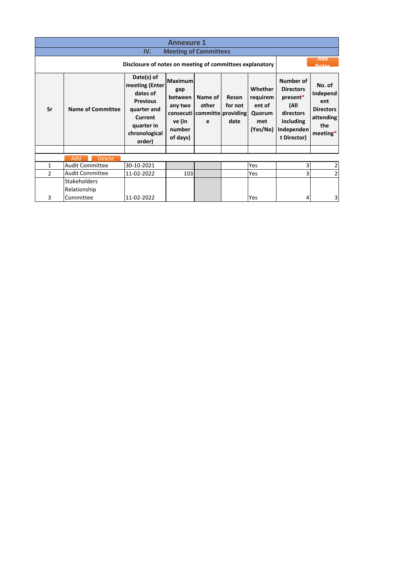| <b>Annexure 1</b><br>IV. |                                                                                          |                                                                                                                                |                                                                      |                                                       |                          |                                                            |                                                                                                          |                                                                               |  |
|--------------------------|------------------------------------------------------------------------------------------|--------------------------------------------------------------------------------------------------------------------------------|----------------------------------------------------------------------|-------------------------------------------------------|--------------------------|------------------------------------------------------------|----------------------------------------------------------------------------------------------------------|-------------------------------------------------------------------------------|--|
|                          | <b>Meeting of Committees</b><br>Disclosure of notes on meeting of committees explanatory |                                                                                                                                |                                                                      |                                                       |                          |                                                            |                                                                                                          | Add<br><b>Notas</b>                                                           |  |
| Sr                       | <b>Name of Committee</b>                                                                 | Date(s) of<br>meeting (Enter<br>dates of<br><b>Previous</b><br>quarter and<br>Current<br>quarter in<br>chronological<br>order) | Maximum<br>gap<br>between<br>any two<br>ve (in<br>number<br>of days) | Name of<br>other<br>consecuti committe providing<br>e | Reson<br>for not<br>date | Whether<br>requirem<br>ent of<br>Quorum<br>met<br>(Yes/No) | Number of<br><b>Directors</b><br>present*<br>(All<br>directors<br>including<br>Independen<br>t Director) | No. of<br>Independ<br>ent<br><b>Directors</b><br>attending<br>the<br>meeting* |  |
|                          |                                                                                          |                                                                                                                                |                                                                      |                                                       |                          |                                                            |                                                                                                          |                                                                               |  |
|                          | Add<br><b>Delete</b>                                                                     |                                                                                                                                |                                                                      |                                                       |                          |                                                            |                                                                                                          |                                                                               |  |
| $\mathbf{1}$             | <b>Audit Committee</b>                                                                   | 30-10-2021                                                                                                                     |                                                                      |                                                       |                          | <b>Yes</b>                                                 | 3                                                                                                        | $\overline{2}$                                                                |  |
| $\mathfrak{p}$           | <b>Audit Committee</b>                                                                   | 11-02-2022                                                                                                                     | 103                                                                  |                                                       |                          | Yes                                                        | 3                                                                                                        | $\overline{2}$                                                                |  |
| 3                        | Stakeholders<br>Relationship<br>Committee                                                | 11-02-2022                                                                                                                     |                                                                      |                                                       |                          | Yes                                                        | 4                                                                                                        | 3                                                                             |  |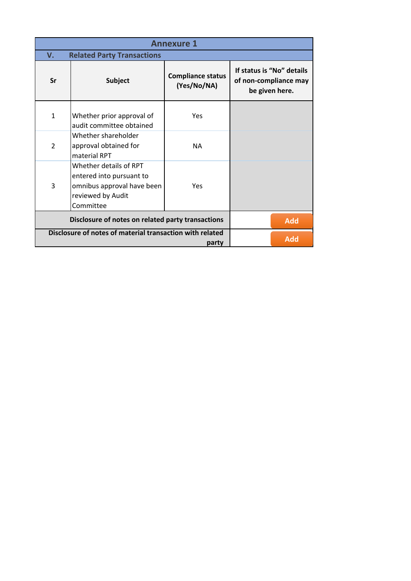|                | <b>Annexure 1</b>                                                                                                  |                                         |            |                                                                      |  |  |  |  |
|----------------|--------------------------------------------------------------------------------------------------------------------|-----------------------------------------|------------|----------------------------------------------------------------------|--|--|--|--|
| V.             | <b>Related Party Transactions</b>                                                                                  |                                         |            |                                                                      |  |  |  |  |
| Sr             | <b>Subject</b>                                                                                                     | <b>Compliance status</b><br>(Yes/No/NA) |            | If status is "No" details<br>of non-compliance may<br>be given here. |  |  |  |  |
| $\mathbf{1}$   | Whether prior approval of<br>audit committee obtained                                                              | Yes                                     |            |                                                                      |  |  |  |  |
| $\overline{2}$ | Whether shareholder<br>approval obtained for<br>material RPT                                                       | <b>NA</b>                               |            |                                                                      |  |  |  |  |
| 3              | Whether details of RPT<br>entered into pursuant to<br>omnibus approval have been<br>reviewed by Audit<br>Committee | Yes                                     |            |                                                                      |  |  |  |  |
|                | Disclosure of notes on related party transactions                                                                  |                                         | <b>Add</b> |                                                                      |  |  |  |  |
|                | Disclosure of notes of material transaction with related                                                           | party                                   |            | <b>Add</b>                                                           |  |  |  |  |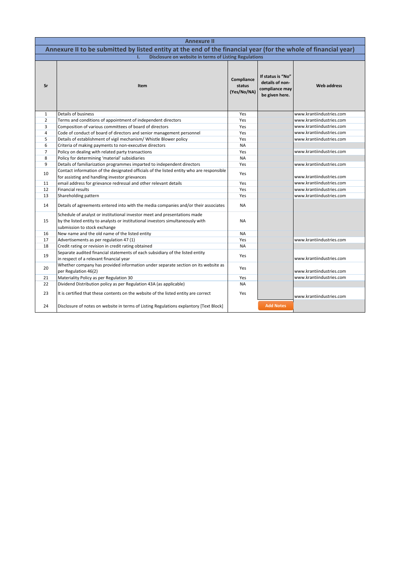| <b>Annexure II</b> |                                                                                                                                                                                              |                                     |                                                                          |                          |  |  |  |
|--------------------|----------------------------------------------------------------------------------------------------------------------------------------------------------------------------------------------|-------------------------------------|--------------------------------------------------------------------------|--------------------------|--|--|--|
|                    | Annexure II to be submitted by listed entity at the end of the financial year (for the whole of financial year)                                                                              |                                     |                                                                          |                          |  |  |  |
|                    | Disclosure on website in terms of Listing Regulations<br>T.                                                                                                                                  |                                     |                                                                          |                          |  |  |  |
| Sr                 | Item                                                                                                                                                                                         | Compliance<br>status<br>(Yes/No/NA) | If status is "No"<br>details of non-<br>compliance may<br>be given here. | <b>Web address</b>       |  |  |  |
| $\mathbf{1}$       | Details of business                                                                                                                                                                          | Yes                                 |                                                                          | www.krantiindustries.com |  |  |  |
| $\overline{2}$     | Terms and conditions of appointment of independent directors                                                                                                                                 | Yes                                 |                                                                          | www.krantiindustries.com |  |  |  |
| 3                  | Composition of various committees of board of directors                                                                                                                                      | Yes                                 |                                                                          | www.krantiindustries.com |  |  |  |
| $\overline{a}$     | Code of conduct of board of directors and senior management personnel                                                                                                                        | Yes                                 |                                                                          | www.krantiindustries.com |  |  |  |
| 5                  | Details of establishment of vigil mechanism/ Whistle Blower policy                                                                                                                           | Yes                                 |                                                                          | www.krantiindustries.com |  |  |  |
| 6                  | Criteria of making payments to non-executive directors                                                                                                                                       | <b>NA</b>                           |                                                                          |                          |  |  |  |
| $\overline{7}$     | Policy on dealing with related party transactions                                                                                                                                            | Yes                                 |                                                                          | www.krantiindustries.com |  |  |  |
| 8                  | Policy for determining 'material' subsidiaries                                                                                                                                               | <b>NA</b>                           |                                                                          |                          |  |  |  |
| 9                  | Details of familiarization programmes imparted to independent directors                                                                                                                      | Yes                                 |                                                                          | www.krantiindustries.com |  |  |  |
| 10                 | Contact information of the designated officials of the listed entity who are responsible<br>for assisting and handling investor grievances                                                   | Yes                                 |                                                                          | www.krantiindustries.com |  |  |  |
| 11                 | email address for grievance redressal and other relevant details                                                                                                                             | Yes                                 |                                                                          | www.krantiindustries.com |  |  |  |
| 12                 | <b>Financial results</b>                                                                                                                                                                     | Yes                                 |                                                                          | www.krantiindustries.com |  |  |  |
| 13                 | Shareholding pattern                                                                                                                                                                         | Yes                                 |                                                                          | www.krantiindustries.com |  |  |  |
| 14                 | Details of agreements entered into with the media companies and/or their associates                                                                                                          | <b>NA</b>                           |                                                                          |                          |  |  |  |
| 15                 | Schedule of analyst or institutional investor meet and presentations made<br>by the listed entity to analysts or institutional investors simultaneously with<br>submission to stock exchange | <b>NA</b>                           |                                                                          |                          |  |  |  |
| 16                 | New name and the old name of the listed entity                                                                                                                                               | <b>NA</b>                           |                                                                          |                          |  |  |  |
| 17                 | Advertisements as per regulation 47 (1)                                                                                                                                                      | Yes                                 |                                                                          | www.krantiindustries.com |  |  |  |
| 18                 | Credit rating or revision in credit rating obtained                                                                                                                                          | <b>NA</b>                           |                                                                          |                          |  |  |  |
| 19                 | Separate audited financial statements of each subsidiary of the listed entity<br>in respect of a relevant financial year                                                                     | Yes                                 |                                                                          | www.krantiindustries.com |  |  |  |
| 20                 | Whether company has provided information under separate section on its website as<br>per Regulation 46(2)                                                                                    | Yes                                 |                                                                          | www.krantiindustries.com |  |  |  |
| 21                 | Materiality Policy as per Regulation 30                                                                                                                                                      | Yes                                 |                                                                          | www.krantiindustries.com |  |  |  |
| 22                 | Dividend Distribution policy as per Regulation 43A (as applicable)                                                                                                                           | <b>NA</b>                           |                                                                          |                          |  |  |  |
| 23                 | It is certified that these contents on the website of the listed entity are correct                                                                                                          | Yes                                 |                                                                          | www.krantiindustries.com |  |  |  |
| 24                 | Disclosure of notes on website in terms of Listing Regulations explantory [Text Block]                                                                                                       |                                     | <b>Add Notes</b>                                                         |                          |  |  |  |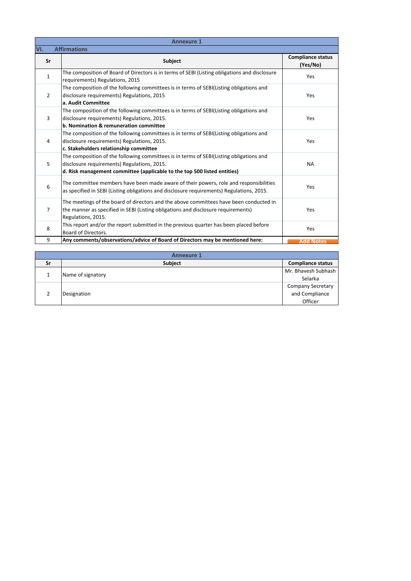|                | <b>Annexure 1</b>                                                                                                                                                                                                  |                                      |  |  |  |  |  |
|----------------|--------------------------------------------------------------------------------------------------------------------------------------------------------------------------------------------------------------------|--------------------------------------|--|--|--|--|--|
| VI.            | <b>Affirmations</b>                                                                                                                                                                                                |                                      |  |  |  |  |  |
| Sr             | <b>Subject</b>                                                                                                                                                                                                     | <b>Compliance status</b><br>(Yes/No) |  |  |  |  |  |
| $\mathbf{1}$   | The composition of Board of Directors is in terms of SEBI (Listing obligations and disclosure<br>requirements) Regulations, 2015                                                                                   | Yes                                  |  |  |  |  |  |
| $\overline{2}$ | The composition of the following committees is in terms of SEBI(Listing obligations and<br>disclosure requirements) Regulations, 2015<br>a. Audit Committee                                                        | Yes                                  |  |  |  |  |  |
| 3              | The composition of the following committees is in terms of SEBI(Listing obligations and<br>disclosure requirements) Regulations, 2015.<br>b. Nomination & remuneration committee                                   | Yes                                  |  |  |  |  |  |
| 4              | The composition of the following committees is in terms of SEBI(Listing obligations and<br>disclosure requirements) Regulations, 2015.<br>c. Stakeholders relationship committee                                   | Yes                                  |  |  |  |  |  |
| 5              | The composition of the following committees is in terms of SEBI(Listing obligations and<br>disclosure requirements) Regulations, 2015.<br>d. Risk management committee (applicable to the top 500 listed entities) | <b>NA</b>                            |  |  |  |  |  |
| 6              | The committee members have been made aware of their powers, role and responsibilities<br>as specified in SEBI (Listing obligations and disclosure requirements) Regulations, 2015.                                 | Yes                                  |  |  |  |  |  |
| $\overline{7}$ | The meetings of the board of directors and the above committees have been conducted in<br>the manner as specified in SEBI (Listing obligations and disclosure requirements)<br>Regulations, 2015.                  | Yes                                  |  |  |  |  |  |
| 8              | This report and/or the report submitted in the previous quarter has been placed before<br>Board of Directors.                                                                                                      | Yes                                  |  |  |  |  |  |
| 9              | Any comments/observations/advice of Board of Directors may be mentioned here:                                                                                                                                      | <b>Add Notes</b>                     |  |  |  |  |  |

|    | <b>Annexure 1</b> |                                                       |  |  |  |  |  |  |
|----|-------------------|-------------------------------------------------------|--|--|--|--|--|--|
| Sr | <b>Subject</b>    | <b>Compliance status</b>                              |  |  |  |  |  |  |
|    | Name of signatory | Mr. Bhavesh Subhash<br>Selarka                        |  |  |  |  |  |  |
|    | Designation       | <b>Company Secretary</b><br>and Compliance<br>Officer |  |  |  |  |  |  |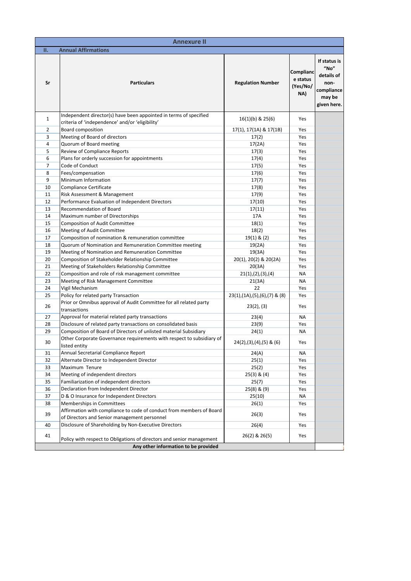| <b>Annexure II</b> |                                                                                                                                            |                                    |                                          |                                                                                   |  |  |  |
|--------------------|--------------------------------------------------------------------------------------------------------------------------------------------|------------------------------------|------------------------------------------|-----------------------------------------------------------------------------------|--|--|--|
| Π.                 | <b>Annual Affirmations</b>                                                                                                                 |                                    |                                          |                                                                                   |  |  |  |
| Sr                 | <b>Particulars</b>                                                                                                                         | <b>Regulation Number</b>           | Complianc<br>e status<br>(Yes/No/<br>NA) | If status is<br>"No"<br>details of<br>non-<br>compliance<br>may be<br>given here. |  |  |  |
| 1                  | Independent director(s) have been appointed in terms of specified<br>criteria of 'independence' and/or 'eligibility'                       | $16(1)(b)$ & $25(6)$               | Yes                                      |                                                                                   |  |  |  |
| 2                  | <b>Board composition</b>                                                                                                                   | 17(1), 17(1A) & 17(1B)             | Yes                                      |                                                                                   |  |  |  |
| 3                  | Meeting of Board of directors                                                                                                              | 17(2)                              | Yes                                      |                                                                                   |  |  |  |
| 4                  | Quorum of Board meeting                                                                                                                    | 17(2A)                             | Yes                                      |                                                                                   |  |  |  |
| 5                  | <b>Review of Compliance Reports</b>                                                                                                        | 17(3)                              | Yes                                      |                                                                                   |  |  |  |
| 6                  | Plans for orderly succession for appointments                                                                                              | 17(4)                              | Yes                                      |                                                                                   |  |  |  |
| 7                  | Code of Conduct                                                                                                                            | 17(5)                              | Yes                                      |                                                                                   |  |  |  |
| 8                  | Fees/compensation                                                                                                                          | 17(6)                              | Yes                                      |                                                                                   |  |  |  |
| 9                  | Minimum Information                                                                                                                        | 17(7)                              | Yes                                      |                                                                                   |  |  |  |
| 10                 | Compliance Certificate                                                                                                                     | 17(8)                              | Yes                                      |                                                                                   |  |  |  |
| 11                 | Risk Assessment & Management                                                                                                               | 17(9)                              | Yes                                      |                                                                                   |  |  |  |
| 12                 | Performance Evaluation of Independent Directors                                                                                            | 17(10)                             | Yes                                      |                                                                                   |  |  |  |
| 13                 | <b>Recommendation of Board</b>                                                                                                             | 17(11)                             | Yes                                      |                                                                                   |  |  |  |
| 14                 | Maximum number of Directorships                                                                                                            | 17A                                | Yes                                      |                                                                                   |  |  |  |
| 15                 | Composition of Audit Committee                                                                                                             | 18(1)                              | Yes                                      |                                                                                   |  |  |  |
| 16                 | Meeting of Audit Committee                                                                                                                 | 18(2)                              | Yes                                      |                                                                                   |  |  |  |
| 17                 | Composition of nomination & remuneration committee                                                                                         | $19(1)$ & $(2)$                    | Yes                                      |                                                                                   |  |  |  |
| 18                 | Quorum of Nomination and Remuneration Committee meeting                                                                                    | 19(2A)                             | Yes                                      |                                                                                   |  |  |  |
| 19                 | Meeting of Nomination and Remuneration Committee                                                                                           | 19(3A)                             | Yes                                      |                                                                                   |  |  |  |
| 20                 | Composition of Stakeholder Relationship Committee                                                                                          | 20(1), 20(2) & 20(2A)              | Yes                                      |                                                                                   |  |  |  |
| 21                 | Meeting of Stakeholders Relationship Committee                                                                                             | 20(3A)                             | Yes                                      |                                                                                   |  |  |  |
| 22                 | Composition and role of risk management committee                                                                                          | 21(1), (2), (3), (4)               | <b>NA</b>                                |                                                                                   |  |  |  |
| 23                 | Meeting of Risk Management Committee                                                                                                       | 21(3A)                             | <b>NA</b>                                |                                                                                   |  |  |  |
| 24                 | Vigil Mechanism                                                                                                                            | 22                                 | Yes                                      |                                                                                   |  |  |  |
| 25                 | Policy for related party Transaction                                                                                                       | $23(1), (1A), (5), (6), (7)$ & (8) | Yes                                      |                                                                                   |  |  |  |
| 26                 | Prior or Omnibus approval of Audit Committee for all related party<br>transactions                                                         | $23(2)$ , $(3)$                    | Yes                                      |                                                                                   |  |  |  |
| 27                 | Approval for material related party transactions                                                                                           | 23(4)                              | NA                                       |                                                                                   |  |  |  |
| 28                 | Disclosure of related party transactions on consolidated basis                                                                             | 23(9)                              | Yes                                      |                                                                                   |  |  |  |
| 29                 | Composition of Board of Directors of unlisted material Subsidiary<br>Other Corporate Governance requirements with respect to subsidiary of | 24(1)                              | <b>NA</b>                                |                                                                                   |  |  |  |
| 30                 | listed entity                                                                                                                              | $24(2),(3),(4),(5)$ & (6)          | Yes                                      |                                                                                   |  |  |  |
| 31                 | Annual Secretarial Compliance Report                                                                                                       | 24(A)                              | ΝA                                       |                                                                                   |  |  |  |
| 32                 | Alternate Director to Independent Director                                                                                                 | 25(1)                              | Yes                                      |                                                                                   |  |  |  |
| 33                 | Maximum Tenure                                                                                                                             | 25(2)                              | Yes                                      |                                                                                   |  |  |  |
| 34                 | Meeting of independent directors<br>Familiarization of independent directors                                                               | $25(3)$ & $(4)$                    | Yes                                      |                                                                                   |  |  |  |
| 35                 |                                                                                                                                            | 25(7)                              | Yes                                      |                                                                                   |  |  |  |
| 36<br>37           | Declaration from Independent Director<br>D & O Insurance for Independent Directors                                                         | $25(8)$ & $(9)$<br>25(10)          | Yes<br>NA                                |                                                                                   |  |  |  |
| 38                 | Memberships in Committees                                                                                                                  | 26(1)                              | Yes                                      |                                                                                   |  |  |  |
|                    | Affirmation with compliance to code of conduct from members of Board                                                                       |                                    |                                          |                                                                                   |  |  |  |
| 39                 | of Directors and Senior management personnel                                                                                               | 26(3)                              | Yes                                      |                                                                                   |  |  |  |
| 40                 | Disclosure of Shareholding by Non-Executive Directors                                                                                      | 26(4)                              | Yes                                      |                                                                                   |  |  |  |
| 41                 | Policy with respect to Obligations of directors and senior management                                                                      | 26(2) & 26(5)                      | Yes                                      |                                                                                   |  |  |  |
|                    | Any other information to be provided                                                                                                       |                                    |                                          |                                                                                   |  |  |  |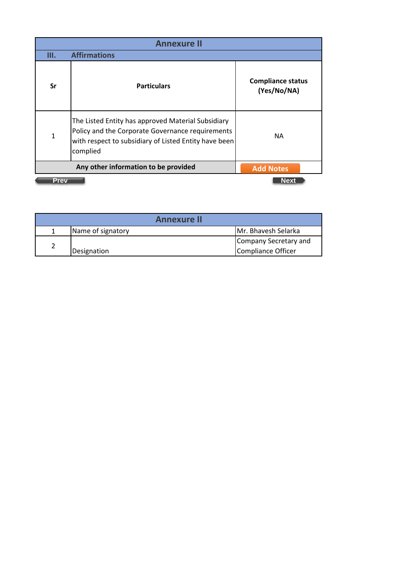| <b>Annexure II</b> |                                                                                                                                                                             |                                         |  |  |
|--------------------|-----------------------------------------------------------------------------------------------------------------------------------------------------------------------------|-----------------------------------------|--|--|
| III.               | <b>Affirmations</b>                                                                                                                                                         |                                         |  |  |
| Sr                 | <b>Particulars</b>                                                                                                                                                          | <b>Compliance status</b><br>(Yes/No/NA) |  |  |
| $\mathbf{1}$       | The Listed Entity has approved Material Subsidiary<br>Policy and the Corporate Governance requirements<br>with respect to subsidiary of Listed Entity have been<br>complied | <b>NA</b>                               |  |  |
|                    | <b>Add Notes</b>                                                                                                                                                            |                                         |  |  |
| <b>Prev</b>        |                                                                                                                                                                             | Next                                    |  |  |

| <b>Annexure II</b> |                   |                       |  |  |
|--------------------|-------------------|-----------------------|--|--|
|                    | Name of signatory | Mr. Bhavesh Selarka   |  |  |
|                    |                   | Company Secretary and |  |  |
|                    | Designation       | Compliance Officer    |  |  |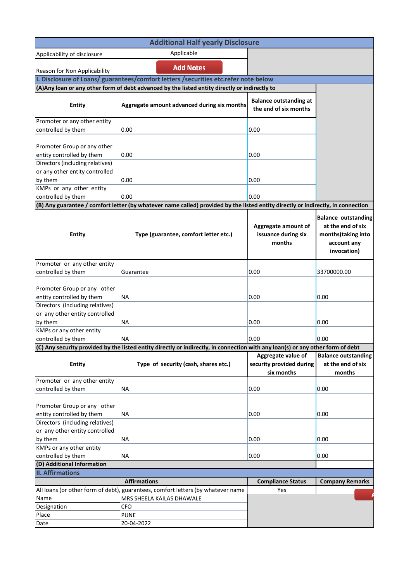| <b>Additional Half yearly Disclosure</b>                                                                                                   |                                                                                                                                  |                                                              |                                                                                                     |  |  |  |  |  |
|--------------------------------------------------------------------------------------------------------------------------------------------|----------------------------------------------------------------------------------------------------------------------------------|--------------------------------------------------------------|-----------------------------------------------------------------------------------------------------|--|--|--|--|--|
| Applicability of disclosure                                                                                                                | Applicable                                                                                                                       |                                                              |                                                                                                     |  |  |  |  |  |
| Reason for Non Applicability                                                                                                               | <b>Add Notes</b>                                                                                                                 |                                                              |                                                                                                     |  |  |  |  |  |
| I. Disclosure of Loans/ guarantees/comfort letters / securities etc.refer note below                                                       |                                                                                                                                  |                                                              |                                                                                                     |  |  |  |  |  |
| (A) Any loan or any other form of debt advanced by the listed entity directly or indirectly to                                             |                                                                                                                                  |                                                              |                                                                                                     |  |  |  |  |  |
| <b>Entity</b>                                                                                                                              | Aggregate amount advanced during six months                                                                                      | <b>Balance outstanding at</b><br>the end of six months       |                                                                                                     |  |  |  |  |  |
| Promoter or any other entity<br>controlled by them                                                                                         | 0.00                                                                                                                             | 0.00                                                         |                                                                                                     |  |  |  |  |  |
| Promoter Group or any other<br>entity controlled by them                                                                                   | 0.00                                                                                                                             | 0.00                                                         |                                                                                                     |  |  |  |  |  |
| Directors (including relatives)<br>or any other entity controlled<br>by them                                                               | 0.00                                                                                                                             | 0.00                                                         |                                                                                                     |  |  |  |  |  |
| KMPs or any other entity<br>controlled by them                                                                                             | 0.00                                                                                                                             | 0.00                                                         |                                                                                                     |  |  |  |  |  |
|                                                                                                                                            | (B) Any guarantee / comfort letter (by whatever name called) provided by the listed entity directly or indirectly, in connection |                                                              |                                                                                                     |  |  |  |  |  |
| <b>Entity</b>                                                                                                                              | Type (guarantee, comfort letter etc.)                                                                                            | Aggregate amount of<br>issuance during six<br>months         | <b>Balance outstanding</b><br>at the end of six<br>months(taking into<br>account any<br>invocation) |  |  |  |  |  |
| Promoter or any other entity                                                                                                               |                                                                                                                                  |                                                              |                                                                                                     |  |  |  |  |  |
| controlled by them                                                                                                                         | Guarantee                                                                                                                        | 0.00                                                         | 33700000.00                                                                                         |  |  |  |  |  |
| Promoter Group or any other<br>entity controlled by them                                                                                   | <b>NA</b>                                                                                                                        | 0.00                                                         | 0.00                                                                                                |  |  |  |  |  |
| Directors (including relatives)<br>or any other entity controlled<br>by them                                                               | ΝA                                                                                                                               | 0.00                                                         | 0.00                                                                                                |  |  |  |  |  |
| KMPs or any other entity<br>controlled by them                                                                                             | NА                                                                                                                               | 0.00                                                         | 0.00                                                                                                |  |  |  |  |  |
|                                                                                                                                            | (C) Any security provided by the listed entity directly or indirectly, in connection with any loan(s) or any other form of debt  |                                                              |                                                                                                     |  |  |  |  |  |
| <b>Entity</b>                                                                                                                              | Type of security (cash, shares etc.)                                                                                             | Aggregate value of<br>security provided during<br>six months | <b>Balance outstanding</b><br>at the end of six<br>months                                           |  |  |  |  |  |
| Promoter or any other entity                                                                                                               |                                                                                                                                  |                                                              |                                                                                                     |  |  |  |  |  |
| controlled by them                                                                                                                         | <b>NA</b>                                                                                                                        | 0.00                                                         | 0.00                                                                                                |  |  |  |  |  |
| Promoter Group or any other<br>entity controlled by them                                                                                   | ΝA                                                                                                                               | 0.00                                                         | 0.00                                                                                                |  |  |  |  |  |
| Directors (including relatives)<br>or any other entity controlled<br>by them                                                               | ΝA                                                                                                                               | 0.00                                                         | 0.00                                                                                                |  |  |  |  |  |
| KMPs or any other entity                                                                                                                   |                                                                                                                                  |                                                              |                                                                                                     |  |  |  |  |  |
| controlled by them                                                                                                                         | <b>NA</b>                                                                                                                        | 0.00                                                         | 0.00                                                                                                |  |  |  |  |  |
| (D) Additional Information                                                                                                                 |                                                                                                                                  |                                                              |                                                                                                     |  |  |  |  |  |
| <b>II. Affirmations</b><br><b>Company Remarks</b>                                                                                          |                                                                                                                                  |                                                              |                                                                                                     |  |  |  |  |  |
| <b>Affirmations</b><br><b>Compliance Status</b><br>All loans (or other form of debt), guarantees, comfort letters (by whatever name<br>Yes |                                                                                                                                  |                                                              |                                                                                                     |  |  |  |  |  |
| Name                                                                                                                                       | MRS SHEELA KAILAS DHAWALE                                                                                                        |                                                              |                                                                                                     |  |  |  |  |  |
| Designation                                                                                                                                | <b>CFO</b>                                                                                                                       |                                                              |                                                                                                     |  |  |  |  |  |
| Place                                                                                                                                      | <b>PUNE</b>                                                                                                                      |                                                              |                                                                                                     |  |  |  |  |  |
| Date                                                                                                                                       | 20-04-2022                                                                                                                       |                                                              |                                                                                                     |  |  |  |  |  |